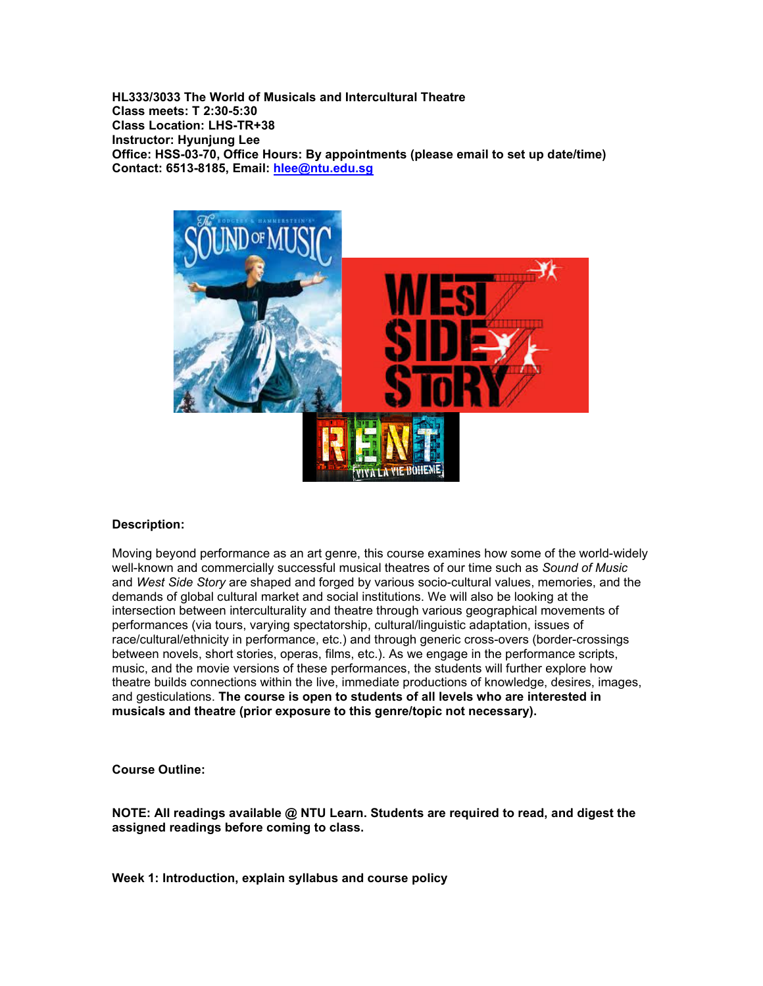**HL333/3033 The World of Musicals and Intercultural Theatre Class meets: T 2:30-5:30 Class Location: LHS-TR+38 Instructor: Hyunjung Lee Office: HSS-03-70, Office Hours: By appointments (please email to set up date/time) Contact: 6513-8185, Email: [hlee@ntu.edu.sg](mailto:hlee@ntu.edu.sg)**



## **Description:**

Moving beyond performance as an art genre, this course examines how some of the world-widely well-known and commercially successful musical theatres of our time such as *Sound of Music* and *West Side Story* are shaped and forged by various socio-cultural values, memories, and the demands of global cultural market and social institutions. We will also be looking at the intersection between interculturality and theatre through various geographical movements of performances (via tours, varying spectatorship, cultural/linguistic adaptation, issues of race/cultural/ethnicity in performance, etc.) and through generic cross-overs (border-crossings between novels, short stories, operas, films, etc.). As we engage in the performance scripts, music, and the movie versions of these performances, the students will further explore how theatre builds connections within the live, immediate productions of knowledge, desires, images, and gesticulations. **The course is open to students of all levels who are interested in musicals and theatre (prior exposure to this genre/topic not necessary).**

**Course Outline:**

**NOTE: All readings available @ NTU Learn. Students are required to read, and digest the assigned readings before coming to class.**

**Week 1: Introduction, explain syllabus and course policy**